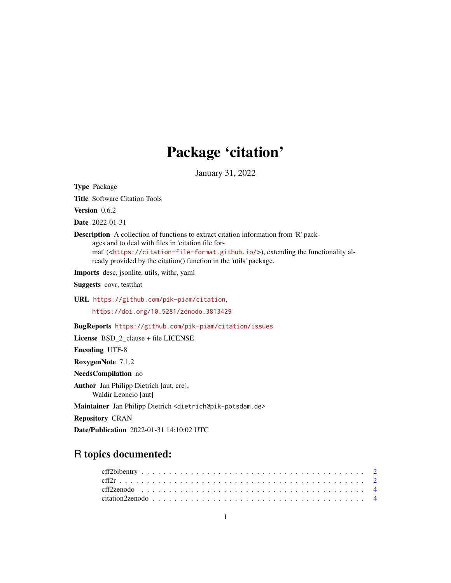## Package 'citation'

January 31, 2022

<span id="page-0-0"></span>Type Package

Title Software Citation Tools

Version 0.6.2

Date 2022-01-31

Description A collection of functions to extract citation information from 'R' packages and to deal with files in 'citation file format' (<<https://citation-file-format.github.io/>>), extending the functionality already provided by the citation() function in the 'utils' package.

Imports desc, jsonlite, utils, withr, yaml

Suggests covr, testthat

URL <https://github.com/pik-piam/citation>,

<https://doi.org/10.5281/zenodo.3813429>

BugReports <https://github.com/pik-piam/citation/issues>

License BSD\_2\_clause + file LICENSE

Encoding UTF-8

RoxygenNote 7.1.2

NeedsCompilation no

Author Jan Philipp Dietrich [aut, cre], Waldir Leoncio [aut]

Maintainer Jan Philipp Dietrich <dietrich@pik-potsdam.de>

Repository CRAN

Date/Publication 2022-01-31 14:10:02 UTC

### R topics documented: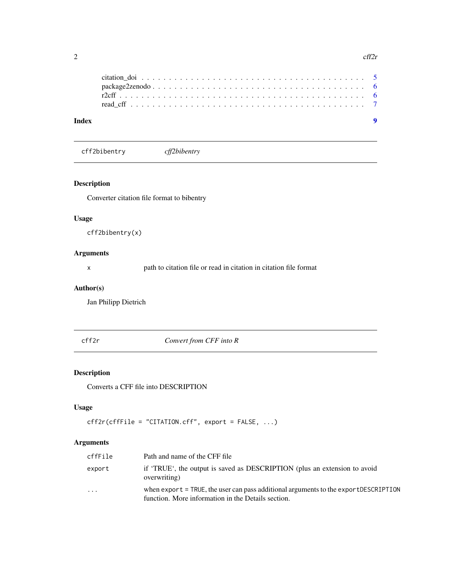<span id="page-1-0"></span>

| Index |  |  |  |  |  |  |  |  |  |  |  |  |  |  |  |  |  |
|-------|--|--|--|--|--|--|--|--|--|--|--|--|--|--|--|--|--|
|       |  |  |  |  |  |  |  |  |  |  |  |  |  |  |  |  |  |
|       |  |  |  |  |  |  |  |  |  |  |  |  |  |  |  |  |  |
|       |  |  |  |  |  |  |  |  |  |  |  |  |  |  |  |  |  |
|       |  |  |  |  |  |  |  |  |  |  |  |  |  |  |  |  |  |

cff2bibentry *cff2bibentry*

#### Description

Converter citation file format to bibentry

#### Usage

cff2bibentry(x)

#### Arguments

x path to citation file or read in citation in citation file format

#### Author(s)

Jan Philipp Dietrich

cff2r *Convert from CFF into R*

#### Description

Converts a CFF file into DESCRIPTION

#### Usage

```
cff2r(cffFile = "CITATION.cff", export = FALSE, ...)
```
#### Arguments

| cffFile                 | Path and name of the CFF file                                                                                                             |
|-------------------------|-------------------------------------------------------------------------------------------------------------------------------------------|
| export                  | if 'TRUE', the output is saved as DESCRIPTION (plus an extension to avoid<br>overwriting)                                                 |
| $\cdot$ $\cdot$ $\cdot$ | when export = TRUE, the user can pass additional arguments to the exportDESCRIPTION<br>function. More information in the Details section. |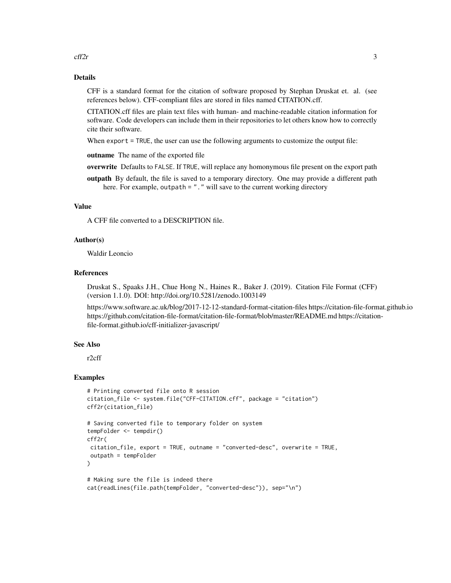cff $2r$  3

#### Details

CFF is a standard format for the citation of software proposed by Stephan Druskat et. al. (see references below). CFF-compliant files are stored in files named CITATION.cff.

CITATION.cff files are plain text files with human- and machine-readable citation information for software. Code developers can include them in their repositories to let others know how to correctly cite their software.

When export = TRUE, the user can use the following arguments to customize the output file:

outname The name of the exported file

overwrite Defaults to FALSE. If TRUE, will replace any homonymous file present on the export path

outpath By default, the file is saved to a temporary directory. One may provide a different path here. For example, outpath = "." will save to the current working directory

#### Value

A CFF file converted to a DESCRIPTION file.

#### Author(s)

Waldir Leoncio

#### References

Druskat S., Spaaks J.H., Chue Hong N., Haines R., Baker J. (2019). Citation File Format (CFF) (version 1.1.0). DOI: http://doi.org/10.5281/zenodo.1003149

https://www.software.ac.uk/blog/2017-12-12-standard-format-citation-files https://citation-file-format.github.io https://github.com/citation-file-format/citation-file-format/blob/master/README.md https://citationfile-format.github.io/cff-initializer-javascript/

#### See Also

r2cff

#### Examples

```
# Printing converted file onto R session
citation_file <- system.file("CFF-CITATION.cff", package = "citation")
cff2r(citation_file)
# Saving converted file to temporary folder on system
tempFolder <- tempdir()
cff2r(
citation_file, export = TRUE, outname = "converted-desc", overwrite = TRUE,
outpath = tempFolder
)
# Making sure the file is indeed there
cat(readLines(file.path(tempFolder, "converted-desc")), sep="\n")
```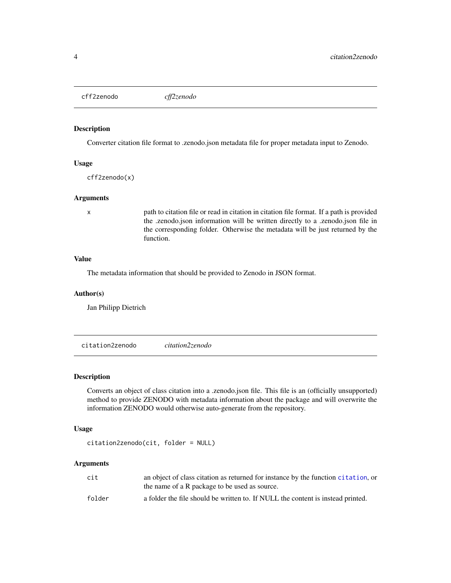<span id="page-3-0"></span>cff2zenodo *cff2zenodo*

#### Description

Converter citation file format to .zenodo.json metadata file for proper metadata input to Zenodo.

#### Usage

cff2zenodo(x)

#### Arguments

x path to citation file or read in citation in citation file format. If a path is provided the .zenodo.json information will be written directly to a .zenodo.json file in the corresponding folder. Otherwise the metadata will be just returned by the function.

#### Value

The metadata information that should be provided to Zenodo in JSON format.

#### Author(s)

Jan Philipp Dietrich

citation2zenodo *citation2zenodo*

#### Description

Converts an object of class citation into a .zenodo.json file. This file is an (officially unsupported) method to provide ZENODO with metadata information about the package and will overwrite the information ZENODO would otherwise auto-generate from the repository.

#### Usage

```
citation2zenodo(cit, folder = NULL)
```
#### Arguments

| cit    | an object of class citation as returned for instance by the function citation, or |
|--------|-----------------------------------------------------------------------------------|
|        | the name of a R package to be used as source.                                     |
| folder | a folder the file should be written to. If NULL the content is instead printed.   |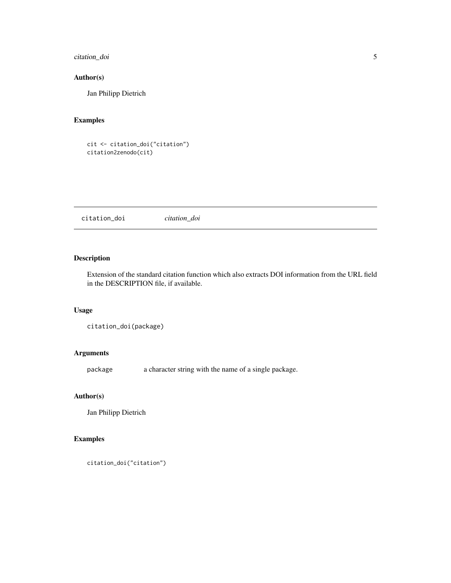<span id="page-4-0"></span>citation\_doi 5

#### Author(s)

Jan Philipp Dietrich

#### Examples

```
cit <- citation_doi("citation")
citation2zenodo(cit)
```
citation\_doi *citation\_doi*

#### Description

Extension of the standard citation function which also extracts DOI information from the URL field in the DESCRIPTION file, if available.

#### Usage

```
citation_doi(package)
```
#### Arguments

package a character string with the name of a single package.

#### Author(s)

Jan Philipp Dietrich

#### Examples

```
citation_doi("citation")
```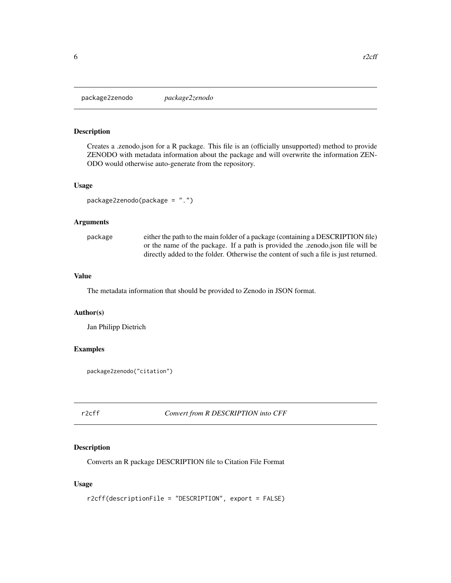<span id="page-5-0"></span>package2zenodo *package2zenodo*

#### Description

Creates a .zenodo.json for a R package. This file is an (officially unsupported) method to provide ZENODO with metadata information about the package and will overwrite the information ZEN-ODO would otherwise auto-generate from the repository.

#### Usage

package2zenodo(package = ".")

#### Arguments

| package | either the path to the main folder of a package (containing a DESCRIPTION file)      |
|---------|--------------------------------------------------------------------------------------|
|         | or the name of the package. If a path is provided the .zenodo.json file will be      |
|         | directly added to the folder. Otherwise the content of such a file is just returned. |

#### Value

The metadata information that should be provided to Zenodo in JSON format.

#### Author(s)

Jan Philipp Dietrich

#### Examples

package2zenodo("citation")

r2cff *Convert from R DESCRIPTION into CFF*

#### Description

Converts an R package DESCRIPTION file to Citation File Format

#### Usage

```
r2cff(descriptionFile = "DESCRIPTION", export = FALSE)
```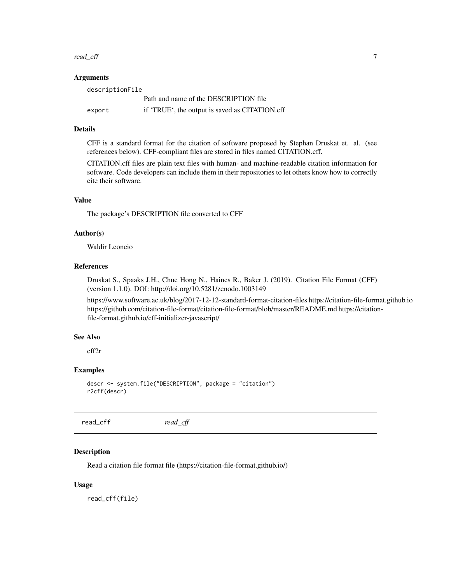#### <span id="page-6-0"></span>read\_cff 7

#### Arguments

| descriptionFile |                                                |  |  |  |  |  |  |  |  |  |
|-----------------|------------------------------------------------|--|--|--|--|--|--|--|--|--|
|                 | Path and name of the DESCRIPTION file          |  |  |  |  |  |  |  |  |  |
| export          | if 'TRUE', the output is saved as CITATION.cff |  |  |  |  |  |  |  |  |  |

#### Details

CFF is a standard format for the citation of software proposed by Stephan Druskat et. al. (see references below). CFF-compliant files are stored in files named CITATION.cff.

CITATION.cff files are plain text files with human- and machine-readable citation information for software. Code developers can include them in their repositories to let others know how to correctly cite their software.

#### Value

The package's DESCRIPTION file converted to CFF

#### Author(s)

Waldir Leoncio

#### References

Druskat S., Spaaks J.H., Chue Hong N., Haines R., Baker J. (2019). Citation File Format (CFF) (version 1.1.0). DOI: http://doi.org/10.5281/zenodo.1003149

https://www.software.ac.uk/blog/2017-12-12-standard-format-citation-files https://citation-file-format.github.io https://github.com/citation-file-format/citation-file-format/blob/master/README.md https://citationfile-format.github.io/cff-initializer-javascript/

#### See Also

cff2r

#### Examples

```
descr <- system.file("DESCRIPTION", package = "citation")
r2cff(descr)
```
read\_cff *read\_cff*

#### Description

Read a citation file format file (https://citation-file-format.github.io/)

#### Usage

read\_cff(file)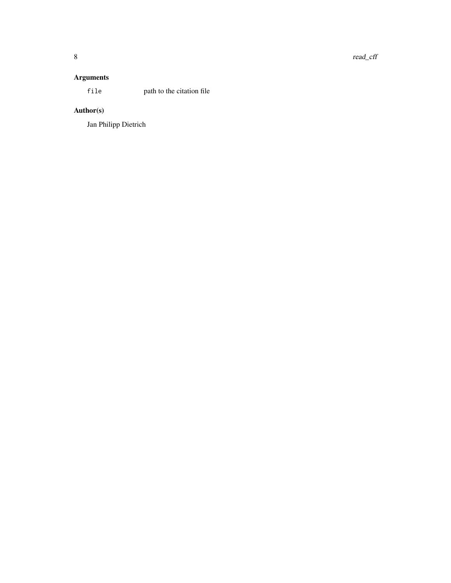### Arguments

file path to the citation file

### Author(s)

Jan Philipp Dietrich